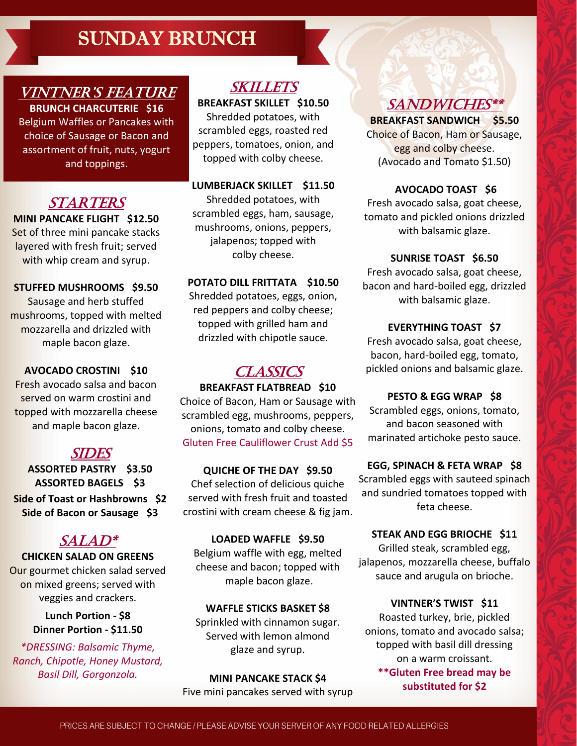## SUNDAY BRUNCH

#### VINTNER'S FEATURE **BRUNCH CHARCUTERIE \$16**

Belgium Waffles or Pancakes with choice of Sausage or Bacon and assortment of fruit, nuts, yogurt and toppings.

## **STARTERS**

**MINI PANCAKE FLIGHT \$12.50** Set of three mini pancake stacks layered with fresh fruit; served with whip cream and syrup.

#### **STUFFED MUSHROOMS \$9.50**

Sausage and herb stuffed mushrooms, topped with melted mozzarella and drizzled with maple bacon glaze.

#### **AVOCADO CROSTINI \$10**

Fresh avocado salsa and bacon served on warm crostini and topped with mozzarella cheese and maple bacon glaze.

### SIDES

**ASSORTED PASTRY \$3.50 ASSORTED BAGELS \$3 Side of Toast or Hashbrowns \$2 Side of Bacon or Sausage \$3**

### SALAD\*

**CHICKEN SALAD ON GREENS** Our gourmet chicken salad served on mixed greens; served with veggies and crackers.

> **Lunch Portion - \$8 Dinner Portion - \$11.50**

*\*DRESSING: Balsamic Thyme, Ranch, Chipotle, Honey Mustard, Basil Dill, Gorgonzola.*

## SKILLETS

**BREAKFAST SKILLET \$10.50** Shredded potatoes, with scrambled eggs, roasted red peppers, tomatoes, onion, and topped with colby cheese.

**LUMBERJACK SKILLET \$11.50** Shredded potatoes, with scrambled eggs, ham, sausage, mushrooms, onions, peppers, jalapenos; topped with colby cheese.

#### **POTATO DILL FRITTATA \$10.50**

Shredded potatoes, eggs, onion, red peppers and colby cheese; topped with grilled ham and drizzled with chipotle sauce.

## **CLASSICS**

#### **BREAKFAST FLATBREAD \$10**

Choice of Bacon, Ham or Sausage with scrambled egg, mushrooms, peppers, onions, tomato and colby cheese. Gluten Free Cauliflower Crust Add \$5

#### **QUICHE OF THE DAY \$9.50** Chef selection of delicious quiche served with fresh fruit and toasted crostini with cream cheese & fig jam.

**LOADED WAFFLE \$9.50** Belgium waffle with egg, melted cheese and bacon; topped with maple bacon glaze.

#### **WAFFLE STICKS BASKET \$8** Sprinkled with cinnamon sugar. Served with lemon almond glaze and syrup.

**MINI PANCAKE STACK \$4** Five mini pancakes served with syrup

## SANDWICHES\*\*

**BREAKFAST SANDWICH \$5.50** Choice of Bacon, Ham or Sausage, egg and colby cheese. (Avocado and Tomato \$1.50)

#### **AVOCADO TOAST \$6**

Fresh avocado salsa, goat cheese, tomato and pickled onions drizzled with balsamic glaze.

#### **SUNRISE TOAST \$6.50**

Fresh avocado salsa, goat cheese, bacon and hard-boiled egg, drizzled with balsamic glaze.

#### **EVERYTHING TOAST \$7**

Fresh avocado salsa, goat cheese, bacon, hard-boiled egg, tomato, pickled onions and balsamic glaze.

**PESTO & EGG WRAP \$8** Scrambled eggs, onions, tomato, and bacon seasoned with

marinated artichoke pesto sauce.

**EGG, SPINACH & FETA WRAP \$8** Scrambled eggs with sauteed spinach and sundried tomatoes topped with feta cheese.

#### **STEAK AND EGG BRIOCHE \$11** Grilled steak, scrambled egg, jalapenos, mozzarella cheese, buffalo sauce and arugula on brioche.

**VINTNER'S TWIST \$11** Roasted turkey, brie, pickled onions, tomato and avocado salsa; topped with basil dill dressing on a warm croissant. **\*\*Gluten Free bread may be substituted for \$2**